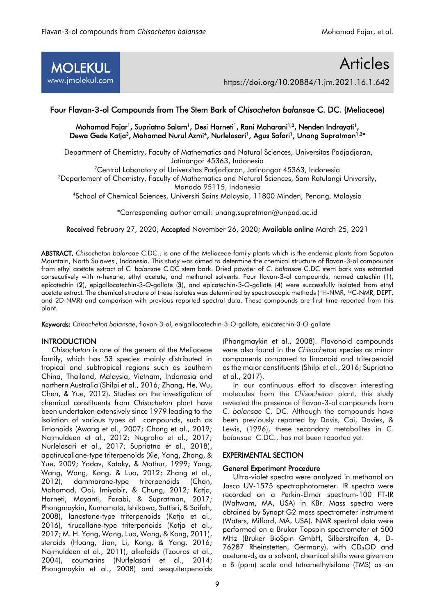

Articles

https://doi.org/10.20884/1.jm.2021.16.1.642

# Four Flavan-3-ol Compounds from The Stem Bark of *Chisocheton balansae* C. DC. (Meliaceae)

## Mohamad Fajar<sup>1</sup>, Supriatno Salam<sup>1</sup>, Desi Harneti<sup>1</sup>, Rani Maharani<sup>1,2</sup>, Nenden Indrayati<sup>1</sup>, Dewa Gede Katja<sup>3</sup>, Mohamad Nurul Azmi<sup>4</sup>, Nurlelasari<sup>1</sup>, Agus Safari<sup>1</sup>, Unang Supratman<sup>1,2\*</sup>

<sup>1</sup>Department of Chemistry, Faculty of Mathematics and Natural Sciences, Universitas Padjadjaran, Jatinangor 45363, Indonesia

<sup>2</sup>Central Laboratory of Universitas Padjadjaran, Jatinangor 45363, Indonesia <sup>3</sup>Departement of Chemistry, Faculty of Mathematics and Natural Sciences, Sam Ratulangi University, Manado 95115, Indonesia

<sup>4</sup>School of Chemical Sciences, Universiti Sains Malaysia, 11800 Minden, Penang, Malaysia

\*Corresponding author email: [unang.supratman@unpad.ac.id](mailto:unang.supratman@unpad.ac.id)

Received February 27, 2020; Accepted November 26, 2020; Available online March 25, 2021

ABSTRACT. *Chisocheton balansae* C.DC., is one of the Meliaceae family plants which is the endemic plants from Soputan Mountain, North Sulawesi, Indonesia. This study was aimed to determine the chemical structure of flavan-3-ol compounds from ethyl acetate extract of *C. balansae* C.DC stem bark. Dried powder of *C. balansae* C.DC stem bark was extracted consecutively with *n*-hexane, ethyl acetate, and methanol solvents. Four flavan-3-ol compounds, named catechin (1), epicatechin (2), epigallocatechin-3-*O*-gallate (3), and epicatechin-3-*O*-gallate (4) were successfully isolated from ethyl acetate extract. The chemical structure of these isolates was determined by spectroscopic methods (<sup>1</sup>H-NMR, <sup>13</sup>C-NMR, DEPT, and 2D-NMR) and comparison with previous reported spectral data. These compounds are first time reported from this plant.

Keywords: *Chisocheton balansae*, flavan-3-ol, epigallocatechin-3-*O*-gallate, epicatechin-3-*O*-gallate

### **INTRODUCTION**

*Chisocheton* is one of the genera of the Meliaceae family, which has 53 species mainly distributed in tropical and subtropical regions such as southern China, Thailand, Malaysia, Vietnam, Indonesia and northern Australia (Shilpi et al., 2016; Zhang, He, Wu, Chen, & Yue, 2012). Studies on the investigation of chemical constituents from *Chisocheton* plant have been undertaken extensively since 1979 leading to the isolation of various types of compounds, such as limonoids (Awang et al., 2007; Chong et al., 2019; Najmuldeen et al., 2012; Nugroho et al., 2017; Nurlelasari et al., 2017; Supriatno et al., 2018), apotirucallane-type triterpenoids (Xie, Yang, Zhang, & Yue, 2009; Yadav, Kataky, & Mathur, 1999; Yang, Wang, Wang, Kong, & Luo, 2012; Zhang et al., 2012), dammarane-type triterpenoids (Chan, Mohamad, Ooi, Imiyabir, & Chung, 2012; Katja, Harneti, Mayanti, Farabi, & Supratman, 2017; Phongmaykin, Kumamoto, Ishikawa, Suttisri, & Saifah, 2008), lanostane-type triterpenoids (Katja et al., 2016), tirucallane-type triterpenoids (Katja et al., 2017; M. H. Yang, Wang, Luo, Wang, & Kong, 2011), steroids (Huang, Jian, Li, Kong, & Yang, 2016; Najmuldeen et al., 2011), alkaloids (Tzouros et al., 2004), coumarins (Nurlelasari et al., 2014; Phongmaykin et al., 2008) and sesquiterpenoids

(Phongmaykin et al., 2008). Flavonoid compounds were also found in the *Chisocheton* species as minor components compared to limonoid and triterpenoid as the major constituents (Shilpi et al., 2016; Supriatno et al., 2017).

In our continuous effort to discover interesting molecules from the *Chisocheton* plant, this study revealed the presence of flavan-3-ol compounds from *C. balansae* C. DC. Although the compounds have been previously reported by Davis, Cai, Davies, & Lewis, (1996), these secondary metabolites in *C. balansae* C.DC., has not been reported yet.

### EXPERIMENTAL SECTION

### General Experiment Procedure

Ultra-violet spectra were analyzed in methanol on Jasco UV-1575 spectrophotometer. IR spectra were recorded on a Perkin-Elmer spectrum-100 FT-IR (Waltwam, MA, USA) in KBr. Mass spectra were obtained by Synapt G2 mass spectrometer instrument (Waters, Milford, MA, USA). NMR spectral data were performed on a Bruker Topspin spectrometer at 500 MHz (Bruker BioSpin GmbH, Silberstreifen 4, D-76287 Rheinstetten, Germany), with  $CD<sub>3</sub>OD$  and acetone- $d_6$  as a solvent, chemical shifts were given on a δ (ppm) scale and tetramethylsilane (TMS) as an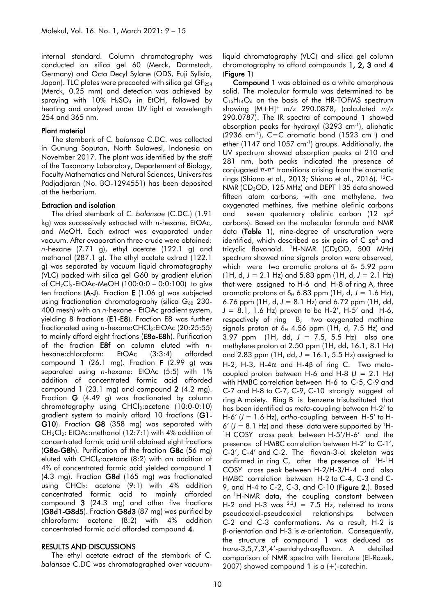internal standard. Column chromatography was conducted on silica gel 60 (Merck, Darmstadt, Germany) and Octa Decyl Sylane (ODS, Fuji Sylisia, Japan). TLC plates were precoated with silica gel GF<sub>254</sub> (Merck, 0.25 mm) and detection was achieved by spraying with 10%  $H_2SO_4$  in EtOH, followed by heating and analyzed under UV light at wavelength 254 and 365 nm.

#### Plant material

The stembark of *C. balansae* C.DC. was collected in Gunung Soputan, North Sulawesi, Indonesia on November 2017. The plant was identified by the staff of the Taxonomy Laboratory, Departement of Biology, Faculty Mathematics and Natural Sciences, Universitas Padjadjaran (No. BO-1294551) has been deposited at the herbarium.

### Extraction and isolation

The dried stembark of *C. balansae* (C.DC.) (1.91 kg) was successively extracted with *n*-hexane, EtOAc, and MeOH. Each extract was evaporated under vacuum. After evaporation three crude were obtained: *n*-hexane (7.71 g), ethyl acetate (122.1 g) and methanol (287.1 g). The ethyl acetate extract (122.1 g) was separated by vacuum liquid chromatography (VLC) packed with silica gel G60 by gradient elution of  $CH_2Cl_2$ -EtOAc-MeOH (100:0:0 – 0:0:100) to give ten fractions (A-J). Fraction E (1.06 g) was subjected using fractionation chromatography (silica  $G_{60}$  230-400 mesh) with an *n*-hexane - EtOAc gradient system, yielding 8 fractions (E1-E8). Fraction E8 was further fractionated using *n*-hexane:CHCl<sub>3</sub>:EtOAc (20:25:55) to mainly afford eight fractions (E8a-E8h). Purification of the fraction E8f on column eluted with *n*hexane:chloroform: EtOAc (3:3:4) afforded compound  $1$  (26.1 mg). Fraction **F** (2.99 g) was separated using *n*-hexane: EtOAc (5:5) with 1% addition of concentrated formic acid afforded compound 1 (23.1 mg) and compound 2 (4.2 mg). Fraction G (4.49 g) was fractionated by column chromatography using CHCl<sub>3</sub>:acetone (10:0-0:10) gradient system to mainly afford 10 fractions (G1- G10). Fraction G8 (358 mg) was separated with CH2Cl2: EtOAc:methanol (12:7:1) with 4% addition of concentrated formic acid until obtained eight fractions (G8a-G8h). Purification of the fraction G8c (56 mg) eluted with  $CHCl<sub>3</sub>:acetone (8:2)$  with an addition of 4% of concentrated formic acid yielded compound 1 (4.3 mg). Fraction G8d (165 mg) was fractionated using CHCl<sub>3</sub>: acetone (9:1) with 4% addition concentrated formic acid to mainly afforded compound 3 (24.3 mg) and other five fractions (G8d1-G8d5). Fraction G8d3 (87 mg) was purified by chloroform: acetone (8:2) with 4% addition concentrated formic acid afforded compound 4.

#### RESULTS AND DISCUSSIONS

The ethyl acetate extract of the stembark of *C. balansae* C.DC was chromatographed over vacuumliquid chromatography (VLC) and silica gel column chromatography to afford compounds 1, 2, 3 and 4 (Figure 1)

Compound 1 was obtained as a white amorphous solid. The molecular formula was determined to be  $C_{15}H_{14}O_6$  on the basis of the HR-TOFMS spectrum showing [M+H]<sup>+</sup>*m/z* 290.0878, (calculated *m/z* 290.0787). The IR spectra of compound 1 showed absorption peaks for hydroxyl (3293 cm-1 ), aliphatic  $(2936 \text{ cm}^{-1})$ , C=C aromatic bond  $(1523 \text{ cm}^{-1})$  and ether (1147 and 1057 cm<sup>-1</sup>) groups. Additionally, the UV spectrum showed absorption peaks at 210 and 281 nm, both peaks indicated the presence of conjugated  $\pi$ - $\pi$ <sup>\*</sup> transitions arising from the aromatic rings (Shiono et al., 2013; Shiono et al., 2016). 13C-NMR (CD3OD, 125 MHz) and DEPT 135 data showed fifteen atom carbons, with one methylene, two oxygenated methines, five methine olefinic carbons and seven quaternary olefinic carbon (12 *sp<sup>2</sup>* carbons). Based on the molecular formula and NMR data (Table 1), nine-degree of unsaturation were identified, which described as six pairs of C *sp<sup>2</sup>* and tricyclic flavonoid. <sup>1</sup>H-NMR (CD<sub>3</sub>OD, 500 MHz) spectrum showed nine signals proton were observed, which were two aromatic protons at  $\delta_H$  5.92 ppm (1H, d, *J =* 2.1 Hz) and 5.83 ppm (1H, d, *J* = 2.1 Hz) that were assigned to H-6 and H-8 of ring A, three aromatic protons at  $\delta_H$  6.83 ppm (1H, d,  $J = 1.6$  Hz), 6.76 ppm (1H, d, *J* = 8.1 Hz) and 6.72 ppm (1H, dd,  $J = 8.1$ , 1.6 Hz) proven to be H-2', H-5' and H-6, respectively of ring B, two oxygenated methine signals proton at  $\delta_H$  4.56 ppm (1H, d, 7.5 Hz) and 3.97 ppm (1H, dd, *J* = 7.5, 5.5 Hz) also one methylene proton at 2.50 ppm (1H, dd, 16.1, 8.1 Hz) and 2.83 ppm (1H, dd, *J =* 16.1, 5.5 Hz) assigned to H-2, H-3, H-4 $α$  and H-4 $β$  of ring C. Two metacoupled proton between H-6 and H-8 (*J* = 2.1 Hz) with HMBC correlation between H-6 to C-5, C-9 and C-7 and H-8 to C-7, C-9, C-10 strongly suggest of ring A moiety. Ring B is benzene trisubstituted that has been identified as *meta*-coupling between H-2' to H-6' (*J =* 1.6 Hz), *ortho*-coupling between H-5' to H-6'  $(J = 8.1$  Hz) and these data were supported by <sup>1</sup>H-<sup>1</sup>H COSY cross peak between H-5'/H-6' and the presence of HMBC correlation between H-2' to C-1', C-3', C-4' and C-2. The flavan-3-ol skeleton was confirmed in ring  $C$ , after the presence of  $H$ - $H$ COSY cross peak between H-2/H-3/H-4 and also HMBC correlation between H-2 to C-4, C-3 and C-9, and H-4 to C-2, C-3, and C-10 (Figure 2.). Based on <sup>1</sup>H-NMR data, the coupling constant between H-2 and H-3 was 2,3*J =* 7.5 Hz, referred to *trans* pseudoaxial-pseudoaxial relationships between C-2 and C-3 conformations. As a result, H-2 is β*-*orientation and H-3 is *α-*orientation. Consequently, the structure of compound 1 was deduced as *trans*-3,5,7,3',4'-pentahydroxyflavan. A detailed comparison of NMR spectra with literature (El-Razek, 2007) showed compound 1 is a  $(+)$ -catechin.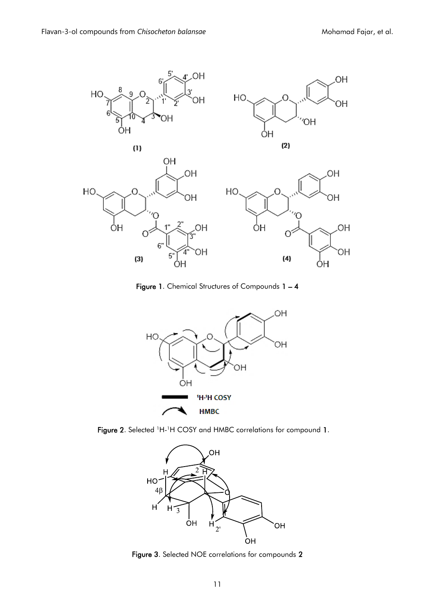

Figure 1. Chemical Structures of Compounds  $1 - 4$ 



Figure 2. Selected <sup>1</sup>H-<sup>1</sup>H COSY and HMBC correlations for compound 1.



Figure 3. Selected NOE correlations for compounds 2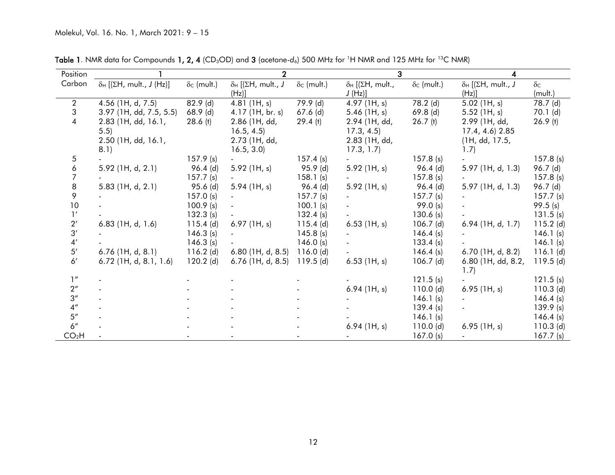| Position          |                                           |                    |                                             |                    | 3                                          |                    |                                              |                       |
|-------------------|-------------------------------------------|--------------------|---------------------------------------------|--------------------|--------------------------------------------|--------------------|----------------------------------------------|-----------------------|
| Carbon            | $\delta_H$ [( $\Sigma H$ , mult., J (Hz)] | $\delta_c$ (mult.) | $\delta_H$ [( $\Sigma H$ , mult., J<br>(Hz) | $\delta c$ (mult.) | $\delta_H$ [( $\Sigma H$ , mult.,<br>J(Hz) | $\delta_c$ (mult.) | $\delta_H$ [( $\Sigma H$ , mult., J<br>(Hz)] | $\delta c$<br>(mult.) |
| $\overline{2}$    | 4.56 (1H, d, 7.5)                         | $82.9$ (d)         | $4.81$ (1H, s)                              | 79.9 (d)           | $4.97$ (1H, s)                             | 78.2 (d)           | 5.02 (1H, $s$ )                              | 78.7 (d)              |
| 3                 | 3.97 (1H, dd, 7.5, 5.5)                   | $68.9$ (d)         | 4.17 (1H, br. s)                            | $67.6$ (d)         | $5.46$ (1H, s)                             | $69.8$ (d)         | $5.52$ (1H, s)                               | 70.1 (d)              |
| 4                 | 2.83 (1H, dd, 16.1,                       | $28.6$ (t)         | 2.86 (1H, dd,                               | $29.4$ (t)         | 2.94 (1H, dd,                              | $26.7$ (t)         | 2.99 (1H, dd,                                | $26.9$ (t)            |
|                   | (5.5)                                     |                    | 16.5, 4.5                                   |                    | 17.3, 4.5                                  |                    | 17.4, 4.6) 2.85                              |                       |
|                   | 2.50 (1H, dd, 16.1,                       |                    | 2.73 (1H, dd,                               |                    | 2.83 (1H, dd,                              |                    | (1H, dd, 17.5,                               |                       |
|                   | 8.1)                                      |                    | 16.5, 3.0                                   |                    | 17.3, 1.7                                  |                    | 1.7)                                         |                       |
| 5                 |                                           | 157.9(s)           |                                             | 157.4(s)           |                                            | 157.8(s)           |                                              | 157.8(s)              |
| 6                 | 5.92 (1H, d, 2.1)                         | $96.4$ (d)         | 5.92 $(H, s)$                               | 95.9 (d)           | 5.92 $(1H, s)$                             | $96.4$ (d)         | 5.97 (1H, d, 1.3)                            | 96.7 (d)              |
|                   |                                           | 157.7(s)           |                                             | 158.1(s)           |                                            | 157.8(s)           |                                              | 157.8(s)              |
| 8                 | 5.83 (1H, d, 2.1)                         | $95.6$ (d)         | 5.94 (1H, $s$ )                             | 96.4 (d)           | 5.92 $(1H, s)$                             | $96.4$ (d)         | 5.97 (1H, d, 1.3)                            | 96.7 (d)              |
| 9                 |                                           | 157.0(s)           |                                             | 157.7(s)           |                                            | 157.7(s)           |                                              | 157.7(s)              |
| 10                |                                           | 100.9(s)           |                                             | 100.1(s)           |                                            | 99.0(s)            |                                              | 99.5(s)               |
| 1'                |                                           | 132.3 (s)          |                                             | 132.4 (s)          |                                            | 130.6 (s)          |                                              | 131.5(s)              |
| $2^{\prime}$      | $6.83$ (1H, d, 1.6)                       | $115.4$ (d)        | $6.97$ (1H, s)                              | $115.4$ (d)        | $6.53$ (1H, s)                             | $106.7$ (d)        | 6.94 (1H, d, 1.7)                            | $115.2$ (d)           |
| $3^\prime$        |                                           | 146.3(s)           |                                             | 145.8(s)           |                                            | 146.4(s)           |                                              | 146.1(s)              |
| 4'                |                                           | 146.3(s)           |                                             | 146.0(s)           |                                            | 133.4 (s)          |                                              | 146.1(s)              |
| 5'                | $6.76$ (1H, d, 8.1)                       | $116.2$ (d)        | $6.80$ (1H, d, 8.5)                         | $116.0$ (d)        |                                            | 146.4(s)           | 6.70 (1H, d, 8.2)                            | $116.1$ (d)           |
| 6'                | 6.72 (1H, d, 8.1, 1.6)                    | $120.2$ (d)        | $6.76$ (1H, d, 8.5)                         | $119.5$ (d)        | $6.53$ (1H, s)                             | $106.7$ (d)        | 6.80 (1H, dd, 8.2,                           | $119.5$ (d)           |
|                   |                                           |                    |                                             |                    |                                            |                    | 1.7)                                         |                       |
| 1''               |                                           |                    |                                             |                    |                                            | $121.5$ (s)        |                                              | 121.5(s)              |
| 2 <sup>''</sup>   |                                           |                    |                                             |                    | $6.94$ (1H, s)                             | $110.0$ (d)        | $6.95$ (1H, s)                               | $110.3$ (d)           |
| 3''               |                                           |                    |                                             |                    |                                            | 146.1(s)           |                                              | 146.4 (s)             |
| 4''               |                                           |                    |                                             |                    |                                            | 139.4(s)           |                                              | 139.9(s)              |
| 5''               |                                           |                    |                                             |                    |                                            | 146.1(s)           |                                              | 146.4(s)              |
| 6''               |                                           |                    |                                             |                    | $6.94$ (1H, s)                             | $110.0$ (d)        | $6.95$ (1H, s)                               | $110.3$ (d)           |
| CO <sub>2</sub> H |                                           |                    |                                             |                    |                                            | 167.0(s)           |                                              | 167.7(s)              |

Table 1. NMR data for Compounds 1, 2, 4 (CD<sub>3</sub>OD) and 3 (acetone-d<sub>6</sub>) 500 MHz for <sup>1</sup>H NMR and 125 MHz for <sup>13</sup>C NMR)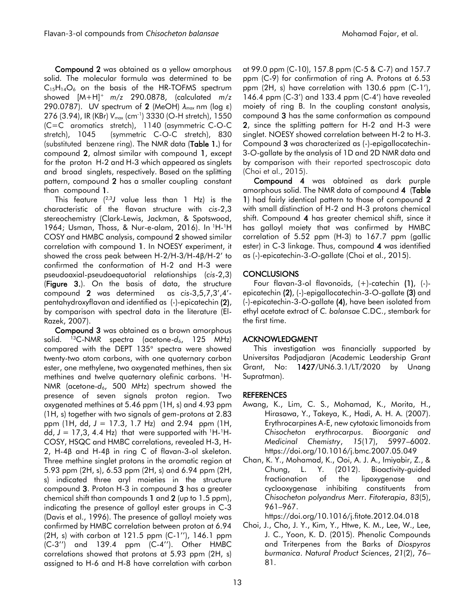Compound 2 was obtained as a yellow amorphous solid. The molecular formula was determined to be  $C_{15}H_{14}O_6$  on the basis of the HR-TOFMS spectrum showed [M+H]<sup>+</sup>*m/z* 290.0878, (calculated *m/z* 290.0787). UV spectrum of 2 (MeOH) *λmax* nm (log ε) 276 (3.94), IR (KBr) *V*max (cm-1 ) 3330 (O-H stretch), 1550 (C=C aromatics stretch), 1140 (asymmetric C-O-C stretch), 1045 (symmetric C-O-C stretch), 830 (substituted benzene ring). The NMR data (Table 1.) for compound 2, almost similar with compound 1, except for the proton H-2 and H-3 which appeared as singlets and broad singlets, respectively. Based on the splitting pattern, compound 2 has a smaller coupling constant than compound 1.

This feature (2,3*J* value less than 1 Hz) is the characteristic of the flavan structure with *cis*-2,3 stereochemistry (Clark-Lewis, Jackman, & Spotswood, 1964; Usman, Thoss, & Nur-e-alam, 2016). In <sup>1</sup>H-<sup>1</sup>H COSY and HMBC analysis, compound 2 showed similar correlation with compound 1. In NOESY experiment, it showed the cross peak between H-2/H-3/H-4β/H-2' to confirmed the conformation of H-2 and H-3 were pseudoaxial-pseudoequatorial relationships (*cis*-2,3) (Figure 3.). On the basis of data, the structure compound 2 was determined as *cis*-3,5,7,3',4' pentahydroxyflavan and identified as (-)-epicatechin (2), by comparison with spectral data in the literature (El-Razek, 2007).

Compound 3 was obtained as a brown amorphous solid. <sup>13</sup>C-NMR spectra (acetone-d<sub>6</sub>, 125 MHz) compared with the DEPT 135° spectra were showed twenty-two atom carbons, with one quaternary carbon ester, one methylene, two oxygenated methines, then six methines and twelve quaternary olefinic carbons. <sup>1</sup>H-NMR (acetone-*d*6, 500 MHz) spectrum showed the presence of seven signals proton region. Two oxygenated methines at 5.46 ppm (1H, s) and 4.93 ppm (1H, s) together with two signals of *gem*-protons at 2.83 ppm (1H, dd, *J* = 17.3, 1.7 Hz) and 2.94 ppm (1H, dd, J = 17,3, 4.4 Hz) that were supported with <sup>1</sup>H-<sup>1</sup>H-COSY, HSQC and HMBC correlations, revealed H-3, H-2, H-4β and H-4β in ring C of flavan-3-ol skeleton. Three methine singlet protons in the aromatic region at 5.93 ppm (2H, s), 6.53 ppm (2H, s) and 6.94 ppm (2H, s) indicated three aryl moieties in the structure compound 3. Proton H-3 in compound 3 has a greater chemical shift than compounds 1 and 2 (up to 1.5 ppm), indicating the presence of galloyl ester groups in C-3 (Davis et al., 1996). The presence of galloyl moiety was confirmed by HMBC correlation between proton at 6.94 (2H, s) with carbon at 121.5 ppm (C-1''), 146.1 ppm (C-3'') and 139.4 ppm (C-4''). Other HMBC correlations showed that protons at 5.93 ppm (2H, s) assigned to H-6 and H-8 have correlation with carbon

at 99.0 ppm (C-10), 157.8 ppm (C-5 & C-7) and 157.7 ppm (C-9) for confirmation of ring A. Protons at 6.53 ppm (2H, s) have correlation with 130.6 ppm (C-1'), 146.4 ppm (C-3') and 133.4 ppm (C-4') have revealed moiety of ring B. In the coupling constant analysis, compound 3 has the same conformation as compound 2, since the splitting pattern for H-2 and H-3 were singlet. NOESY showed correlation between H-2 to H-3. Compound 3 was characterized as (-)-epigallocatechin-3-*O*-gallate by the analysis of 1D and 2D NMR data and by comparison with their reported spectroscopic data (Choi et al., 2015).

Compound 4 was obtained as dark purple amorphous solid. The NMR data of compound 4 (Table 1) had fairly identical pattern to those of compound 2 with small distinction of H-2 and H-3 protons chemical shift. Compound 4 has greater chemical shift, since it has galloyl moiety that was confirmed by HMBC correlation of 5.52 ppm (H-3) to 167.7 ppm (gallic ester) in C-3 linkage. Thus, compound 4 was identified as (-)-epicatechin-3-*O*-gallate (Choi et al., 2015).

## **CONCLUSIONS**

Four flavan-3-ol flavonoids, (+)-catechin (1), (-) epicatechin (2), (-)-epigallocatechin-3-O-gallate (3) and (-)-epicatechin-3-O-gallate (4), have been isolated from ethyl acetate extract of *C. balansae* C.DC., stembark for the first time.

### ACKNOWLEDGMENT

This investigation was financially supported by Universitas Padjadjaran (Academic Leadership Grant Grant, No: 1427/UN6.3.1/LT/2020 by Unang Supratman).

### REFERENCES

- Awang, K., Lim, C. S., Mohamad, K., Morita, H., Hirasawa, Y., Takeya, K., Hadi, A. H. A. (2007). Erythrocarpines A-E, new cytotoxic limonoids from *Chisocheton erythrocarpus*. *Bioorganic and Medicinal Chemistry*, *15*(17), 5997–6002. https://doi.org/10.1016/j.bmc.2007.05.049
- Chan, K. Y., Mohamad, K., Ooi, A. J. A., Imiyabir, Z., & Chung, L. Y. (2012). Bioactivity-guided fractionation of the lipoxygenase and cyclooxygenase inhibiting constituents from *Chisocheton polyandrus* Merr. *Fitoterapia*, *83*(5), 961–967.

https://doi.org/10.1016/j.fitote.2012.04.018

Choi, J., Cho, J. Y., Kim, Y., Htwe, K. M., Lee, W., Lee, J. C., Yoon, K. D. (2015). Phenolic Compounds and Triterpenes from the Barks of *Diospyros burmanica*. *Natural Product Sciences*, *21*(2), 76– 81.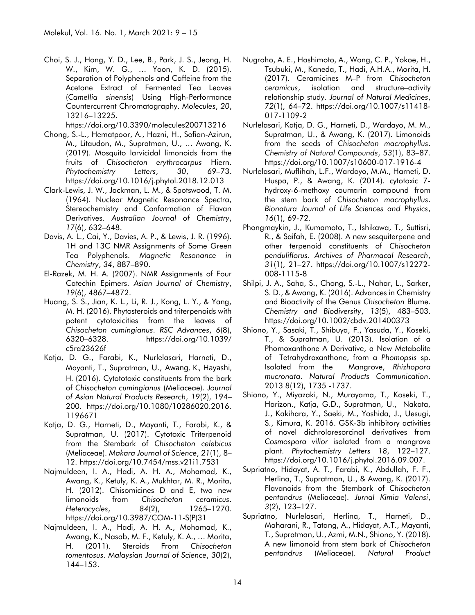Choi, S. J., Hong, Y. D., Lee, B., Park, J. S., Jeong, H. W., Kim, W. G., … Yoon, K. D. (2015). Separation of Polyphenols and Caffeine from the Acetone Extract of Fermented Tea Leaves (*Camellia sinensis*) Using High-Performance Countercurrent Chromatography. *Molecules*, *20*, 13216–13225.

https://doi.org/10.3390/molecules200713216

- Chong, S.-L., Hematpoor, A., Hazni, H., Sofian-Azirun, M., Litaudon, M., Supratman, U., … Awang, K. (2019). Mosquito larvicidal limonoids from the fruits of *Chisocheton erythrocarpus* Hiern. *Phytochemistry Letters*, *30*, 69–73. https://doi.org/10.1016/j.phytol.2018.12.013
- Clark-Lewis, J. W., Jackman, L. M., & Spotswood, T. M. (1964). Nuclear Magnetic Resonance Spectra, Stereochemistry and Conformation of Flavan Derivatives. *Australian Journal of Chemistry*, *17*(6), 632–648.
- Davis, A. L., Cai, Y., Davies, A. P., & Lewis, J. R. (1996). 1H and 13C NMR Assignments of Some Green Tea Polyphenols. *Magnetic Resonance in Chemistry*, *34*, 887–890.
- El-Razek, M. H. A. (2007). NMR Assignments of Four Catechin Epimers. *Asian Journal of Chemistry*, *19*(6), 4867–4872.
- Huang, S. S., Jian, K. L., Li, R. J., Kong, L. Y., & Yang, M. H. (2016). Phytosteroids and triterpenoids with potent cytotoxicities from the leaves of *Chisocheton cumingianus*. *RSC Advances*, *6*(8), 6320–6328. https://doi.org/10.1039/ c5ra23626f
- Katja, D. G., Farabi, K., Nurlelasari, Harneti, D., Mayanti, T., Supratman, U., Awang, K., Hayashi, H. (2016). Cytototoxic constituents from the bark of *Chisocheton cumingianus* (Meliaceae). *Journal of Asian Natural Products Research*, *19*(2), 194– 200. https://doi.org/10.1080/10286020.2016. 1196671
- Katja, D. G., Harneti, D., Mayanti, T., Farabi, K., & Supratman, U. (2017). Cytotoxic Triterpenoid from the Stembark of *Chisocheton celebicus* (Meliaceae). *Makara Journal of Science*, *21*(1), 8– 12. https://doi.org/10.7454/mss.v21i1.7531
- Najmuldeen, I. A., Hadi, A. H. A., Mohamad, K., Awang, K., Ketuly, K. A., Mukhtar, M. R., Morita, H. (2012). Chisomicines D and E, two new limonoids from *Chisocheton ceramicus*. *Heterocycles*, *84*(2), 1265–1270. https://doi.org/10.3987/COM-11-S(P)31
- Najmuldeen, I. A., Hadi, A. H. A., Mohamad, K., Awang, K., Nasab, M. F., Ketuly, K. A., … Morita, H. (2011). Steroids From *Chisocheton tomentosus*. *Malaysian Journal of Science*, *30*(2), 144–153.
- Nugroho, A. E., Hashimoto, A., Wong, C. P., Yokoe, H., Tsubuki, M., Kaneda, T., Hadi, A.H.A., Morita, H. (2017). Ceramicines M–P from *Chisocheton ceramicus*, isolation and structure–activity relationship study. *Journal of Natural Medicines*, *72*(1), 64–72. https://doi.org/10.1007/s11418- 017-1109-2
- Nurlelasari, Katja, D. G., Harneti, D., Wardayo, M. M., Supratman, U., & Awang, K. (2017). Limonoids from the seeds of *Chisocheton macrophyllus*. *Chemistry of Natural Compounds*, *53*(1), 83–87. https://doi.org/10.1007/s10600-017-1916-4
- Nurlelasari, Muflihah, L.F., Wardoyo, M.M., Harneti, D. Huspa, P., & Awang, K. (2014). cytotoxic 7 hydroxy-6-methoxy coumarin compound from the stem bark of *Chisocheton macrophyllus*. *Bionatura Journal of Life Sciences and Physics*, *16*(1), 69-72.
- Phongmaykin, J., Kumamoto, T., Ishikawa, T., Suttisri, R., & Saifah, E. (2008). A new sesquiterpene and other terpenoid constituents of *Chisocheton penduliflorus*. *Archives of Pharmacal Research*, *31*(1), 21–27. https://doi.org/10.1007/s12272- 008-1115-8
- Shilpi, J. A., Saha, S., Chong, S.-L., Nahar, L., Sarker, S. D., & Awang, K. (2016). Advances in Chemistry and Bioactivity of the Genus *Chisocheton* Blume. *Chemistry and Biodiversity*, *13*(5), 483–503. https://doi.org/10.1002/cbdv.201400373
- Shiono, Y., Sasaki, T., Shibuya, F., Yasuda, Y., Koseki, T., & Supratman, U. (2013). Isolation of a Phomoxanthone A Derivative, a New Metabolite of Tetrahydroxanthone, from a *Phomopsis* sp. Isolated from the Mangrove, *Rhizhopora mucronata*. *Natural Products Communication*. 2013 *8*(12), 1735 -1737.
- Shiono, Y., Miyazaki, N., Murayama, T., Koseki, T., Harizon., Katja, G.D., Supratman, U., Nakata, J., Kakihara, Y., Saeki, M., Yoshida, J., Uesugi, S., Kimura, K. 2016. GSK-3b inhibitory activities of novel dichroloresorcinol derivatives from *Cosmospora vilior* isolated from a mangrove plant. *Phytochemistry Letters 18*, 122–127. https://doi.org/10.1016/j.phytol.2016.09.007.
- Supriatno, Hidayat, A. T., Farabi, K., Abdullah, F. F., Herlina, T., Supratman, U., & Awang, K. (2017). Flavanoids from the Stembark of *Chisocheton pentandrus* (Meliaceae). *Jurnal Kimia Valensi*, *3*(2), 123–127.
- Supriatno, Nurlelasari, Herlina, T., Harneti, D., Maharani, R., Tatang, A., Hidayat, A.T., Mayanti, T., Supratman, U., Azmi, M.N., Shiono, Y. (2018). A new limonoid from stem bark of *Chisocheton pentandrus* (Meliaceae). *Natural Product*